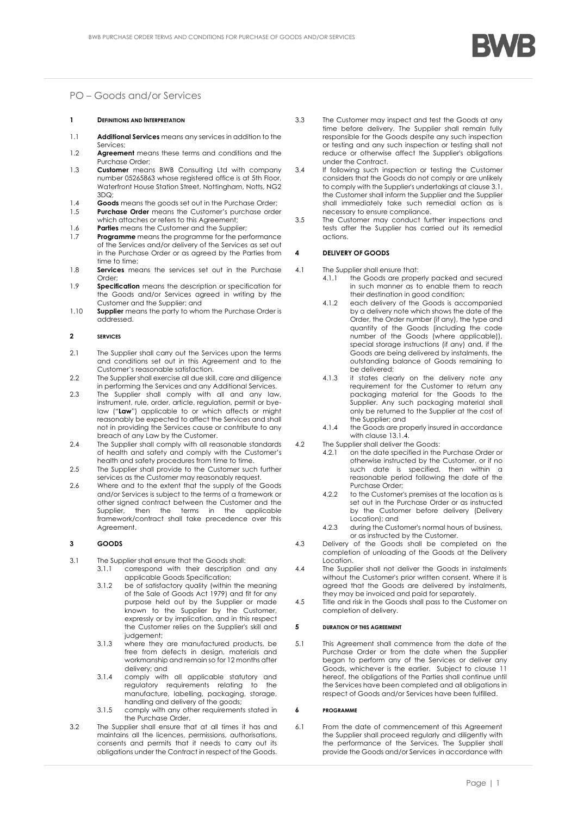

# PO – Goods and/or Services

#### **1 DEFINITIONS AND INTERPRETATION**

- 1.1 **Additional Services** means any services in addition to the Services;
- 1.2 **Agreement** means these terms and conditions and the Purchase Order;
- 1.3 **Customer** means BWB Consulting Ltd with company number 05265863 whose registered office is at 5th Floor, Waterfront House Station Street, Nottingham, Notts, NG2  $3DQ<sub>1</sub>$
- 1.4 **Goods** means the goods set out in the Purchase Order;<br>1.5 **Purchase Order** means the Customer's purchase order Purchase Order means the Customer's purchase order
- which attaches or refers to this Agreement;
- 1.6 **Parties** means the Customer and the Supplier;<br>1.7 **Programme** means the programme for the per-**Programme** means the programme for the performance of the Services and/or delivery of the Services as set out in the Purchase Order or as agreed by the Parties from time to time;
- 1.8 **Services** means the services set out in the Purchase Order;
- 1.9 **Specification** means the description or specification for the Goods and/or Services agreed in writing by the Customer and the Supplier; and
- 1.10 **Supplier** means the party to whom the Purchase Order is addressed.

### **2 SERVICES**

- 2.1 The Supplier shall carry out the Services upon the terms and conditions set out in this Agreement and to the Customer's reasonable satisfaction.
- 2.2 The Supplier shall exercise all due skill, care and diligence in performing the Services and any Additional Services.
- 2.3 The Supplier shall comply with all and any law, instrument, rule, order, article, regulation, permit or byelaw ("**Law**") applicable to or which affects or might reasonably be expected to affect the Services and shall not in providing the Services cause or contribute to any breach of any Law by the Customer.
- 2.4 The Supplier shall comply with all reasonable standards of health and safety and comply with the Customer's health and safety procedures from time to time.
- 2.5 The Supplier shall provide to the Customer such further services as the Customer may reasonably request.
- 2.6 Where and to the extent that the supply of the Goods and/or Services is subject to the terms of a framework or other signed contract between the Customer and the Supplier, then the terms in the applicable framework/contract shall take precedence over this Agreement.

## **3 GOODS**

- <span id="page-0-0"></span>3.1 The Supplier shall ensure that the Goods shall:
	- 3.1.1 correspond with their description and any applicable Goods Specification;
	- 3.1.2 be of satisfactory quality (within the meaning of the Sale of Goods Act 1979) and fit for any purpose held out by the Supplier or made known to the Supplier by the Customer, expressly or by implication, and in this respect the Customer relies on the Supplier's skill and judgement;
	- 3.1.3 where they are manufactured products, be free from defects in design, materials and workmanship and remain so for 12 months after delivery; and
	- 3.1.4 comply with all applicable statutory and regulatory requirements relating to the manufacture, labelling, packaging, storage, handling and delivery of the goods;
	- 3.1.5 comply with any other requirements stated in the Purchase Order.
- 3.2 The Supplier shall ensure that at all times it has and maintains all the licences, permissions, authorisations, consents and permits that it needs to carry out its obligations under the Contract in respect of the Goods.
- 3.3 The Customer may inspect and test the Goods at any time before delivery. The Supplier shall remain fully responsible for the Goods despite any such inspection or testing and any such inspection or testing shall not reduce or otherwise affect the Supplier's obligations under the Contract.
- 3.4 If following such inspection or testing the Customer considers that the Goods do not comply or are unlikely to comply with the Supplier's undertakings at claus[e 3.1,](#page-0-0)  the Customer shall inform the Supplier and the Supplier shall immediately take such remedial action as is necessary to ensure compliance.
- 3.5 The Customer may conduct further inspections and tests after the Supplier has carried out its remedial actions.

### **4 DELIVERY OF GOODS**

- 4.1 The Supplier shall ensure that:
	- 4.1.1 the Goods are properly packed and secured in such manner as to enable them to reach their destination in good condition;
	- 4.1.2 each delivery of the Goods is accompanied by a delivery note which shows the date of the Order, the Order number (if any), the type and quantity of the Goods (including the code number of the Goods (where applicable)), special storage instructions (if any) and, if the Goods are being delivered by instalments, the outstanding balance of Goods remaining to be delivered;
	- 4.1.3 it states clearly on the delivery note any requirement for the Customer to return any packaging material for the Goods to the Supplier. Any such packaging material shall only be returned to the Supplier at the cost of the Supplier; and
	- 4.1.4 the Goods are properly insured in accordance with claus[e 13.1.4.](#page-2-0)
- 4.2 The Supplier shall deliver the Goods:
	- 4.2.1 on the date specified in the Purchase Order or otherwise instructed by the Customer, or if no such date is specified, then within a reasonable period following the date of the Purchase Order;
		- 4.2.2 to the Customer's premises at the location as is set out in the Purchase Order or as instructed by the Customer before delivery (Delivery Location); and
	- 4.2.3 during the Customer's normal hours of business, or as instructed by the Customer.
- 4.3 Delivery of the Goods shall be completed on the completion of unloading of the Goods at the Delivery Location.
- 4.4 The Supplier shall not deliver the Goods in instalments without the Customer's prior written consent. Where it is agreed that the Goods are delivered by instalments, they may be invoiced and paid for separately.
- 4.5 Title and risk in the Goods shall pass to the Customer on completion of delivery.

#### **5 DURATION OF THIS AGREEMENT**

5.1 This Agreement shall commence from the date of the Purchase Order or from the date when the Supplier began to perform any of the Services or deliver any Goods, whichever is the earlier. Subject to clause [11](#page-1-0) hereof, the obligations of the Parties shall continue until the Services have been completed and all obligations in respect of Goods and/or Services have been fulfilled.

#### **6 PROGRAMME**

<span id="page-0-1"></span>6.1 From the date of commencement of this Agreement the Supplier shall proceed regularly and diligently with the performance of the Services. The Supplier shall provide the Goods and/or Services in accordance with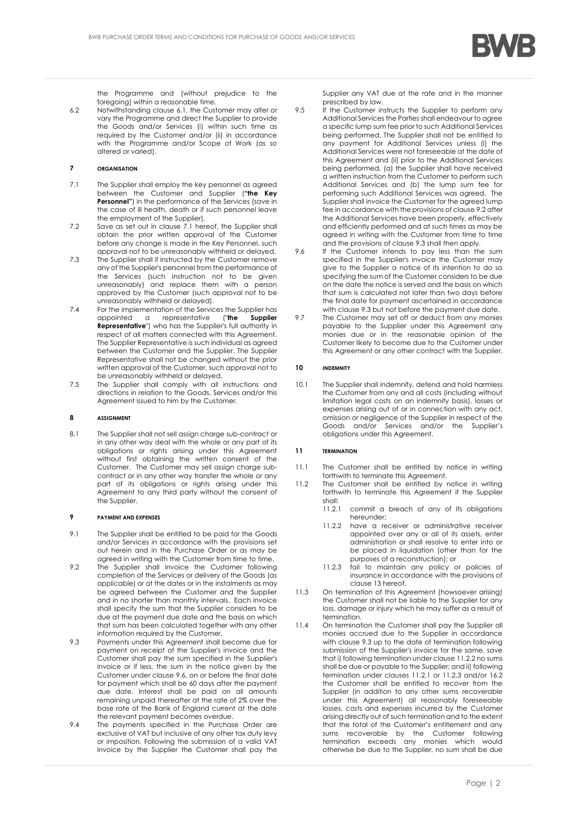

the Programme and (without prejudice to the foregoing) within a reasonable time.

6.2 Notwithstanding clause [6.1,](#page-0-1) the Customer may alter or vary the Programme and direct the Supplier to provide the Goods and/or Services (i) within such time as required by the Customer and/or (ii) in accordance with the Programme and/or Scope of Work (as so altered or varied).

## **7 ORGANISATION**

- <span id="page-1-1"></span>7.1 The Supplier shall employ the key personnel as agreed between the Customer and Supplier (**"the Key Personnel"**) in the performance of the Services (save in the case of ill health, death or if such personnel leave the employment of the Supplier).
- 7.2 Save as set out in clause [7.1](#page-1-1) hereof, the Supplier shall obtain the prior written approval of the Customer before any change is made in the Key Personnel, such approval not to be unreasonably withheld or delayed.
- 7.3 The Supplier shall if instructed by the Customer remove any of the Supplier's personnel from the performance of the Services (such instruction not to be given unreasonably) and replace them with a person approved by the Customer (such approval not to be unreasonably withheld or delayed).
- 7.4 For the implementation of the Services the Supplier has appointed a representative ("**the Supplier Representative**") who has the Supplier's full authority in respect of all matters connected with this Agreement. The Supplier Representative is such individual as agreed between the Customer and the Supplier. The Supplier Representative shall not be changed without the prior written approval of the Customer, such approval not to be unreasonably withheld or delayed.
- 7.5 The Supplier shall comply with all instructions and directions in relation to the Goods, Services and/or this Agreement issued to him by the Customer.

#### **8 ASSIGNMENT**

8.1 The Supplier shall not sell assign charge sub-contract or in any other way deal with the whole or any part of its obligations or rights arising under this Agreement without first obtaining the written consent of the Customer. The Customer may sell assign charge subcontract or in any other way transfer the whole or any part of its obligations or rights arising under this Agreement to any third party without the consent of the Supplier.

#### **9 PAYMENT AND EXPENSES**

- 9.1 The Supplier shall be entitled to be paid for the Goods and/or Services in accordance with the provisions set out herein and in the Purchase Order or as may be agreed in writing with the Customer from time to time.
- <span id="page-1-3"></span>9.2 The Supplier shall invoice the Customer following completion of the Services or delivery of the Goods (as applicable) or at the dates or in the instalments as may be agreed between the Customer and the Supplier and in no shorter than monthly intervals. Each invoice shall specify the sum that the Supplier considers to be due at the payment due date and the basis on which that sum has been calculated together with any other information required by the Customer.
- <span id="page-1-4"></span>9.3 Payments under this Agreement shall become due for payment on receipt of the Supplier's invoice and the Customer shall pay the sum specified in the Supplier's invoice or if less, the sum in the notice given by the Customer under claus[e 9.6,](#page-1-2) on or before the final date for payment which shall be 60 days after the payment due date. Interest shall be paid on all amounts remaining unpaid thereafter at the rate of 2% over the base rate of the Bank of England current at the date the relevant payment becomes overdue.
- 9.4 The payments specified in the Purchase Order are exclusive of VAT but inclusive of any other tax duty levy or imposition. Following the submission of a valid VAT invoice by the Supplier the Customer shall pay the

Supplier any VAT due at the rate and in the manner prescribed by law.

- 9.5 If the Customer instructs the Supplier to perform any Additional Services the Parties shall endeavour to agree a specific lump sum fee prior to such Additional Services being performed. The Supplier shall not be entitled to any payment for Additional Services unless (i) the Additional Services were not foreseeable at the date of this Agreement and (ii) prior to the Additional Services being performed, (a) the Supplier shall have received a written instruction from the Customer to perform such Additional Services and (b) the lump sum fee for performing such Additional Services was agreed. The Supplier shall invoice the Customer for the agreed lump fee in accordance with the provisions of claus[e 9.2](#page-1-3) after the Additional Services have been properly, effectively and efficiently performed and at such times as may be agreed in writing with the Customer from time to time and the provisions of claus[e 9.3](#page-1-4) shall then apply.
- <span id="page-1-2"></span>9.6 If the Customer intends to pay less than the sum specified in the Supplier's invoice the Customer may give to the Supplier a notice of its intention to do so specifying the sum of the Customer considers to be due on the date the notice is served and the basis on which that sum is calculated not later than two days before the final date for payment ascertained in accordance with claus[e 9.3](#page-1-4) but not before the payment due date.
- 9.7 The Customer may set off or deduct from any monies payable to the Supplier under this Agreement any monies due or in the reasonable opinion of the Customer likely to become due to the Customer under this Agreement or any other contract with the Supplier.

### **10 INDEMNITY**

10.1 The Supplier shall indemnify, defend and hold harmless the Customer from any and all costs (including without limitation legal costs on an indemnity basis), losses or expenses arising out of or in connection with any act, omission or negligence of the Supplier in respect of the Goods and/or Services and/or the Supplier's obligations under this Agreement.

### <span id="page-1-0"></span>**11 TERMINATION**

- 11.1 The Customer shall be entitled by notice in writing forthwith to terminate this Agreement.
- <span id="page-1-6"></span><span id="page-1-5"></span>11.2 The Customer shall be entitled by notice in writing forthwith to terminate this Agreement if the Supplier shall:
	- 11.2.1 commit a breach of any of its obligations hereunder;
	- 11.2.2 have a receiver or administrative receiver appointed over any or all of its assets, enter administration or shall resolve to enter into or be placed in liquidation (other than for the purposes of a reconstruction); or
	- 11.2.3 fail to maintain any policy or policies of insurance in accordance with the provisions of claus[e 13](#page-2-1) hereof.
- <span id="page-1-7"></span>11.3 On termination of this Agreement (howsoever arising) the Customer shall not be liable to the Supplier for any loss, damage or injury which he may suffer as a result of termination.
- 11.4 On termination the Customer shall pay the Supplier all monies accrued due to the Supplier in accordance with clause [9.3](#page-1-4) up to the date of termination following submission of the Supplier's invoice for the same, save that i) following termination under claus[e 11.2.2](#page-1-5) no sums shall be due or payable to the Supplier; and ii) following termination under clauses [11.2.1](#page-1-6) or [11.2.3](#page-1-7) and/or [16.2](#page-2-2) the Customer shall be entitled to recover from the Supplier (in addition to any other sums recoverable under this Agreement) all reasonably foreseeable losses, costs and expenses incurred by the Customer arising directly out of such termination and to the extent that the total of the Customer's entitlement and any sums recoverable by the Customer following sums recoverable by the Customer termination exceeds any monies which would otherwise be due to the Supplier, no sum shall be due